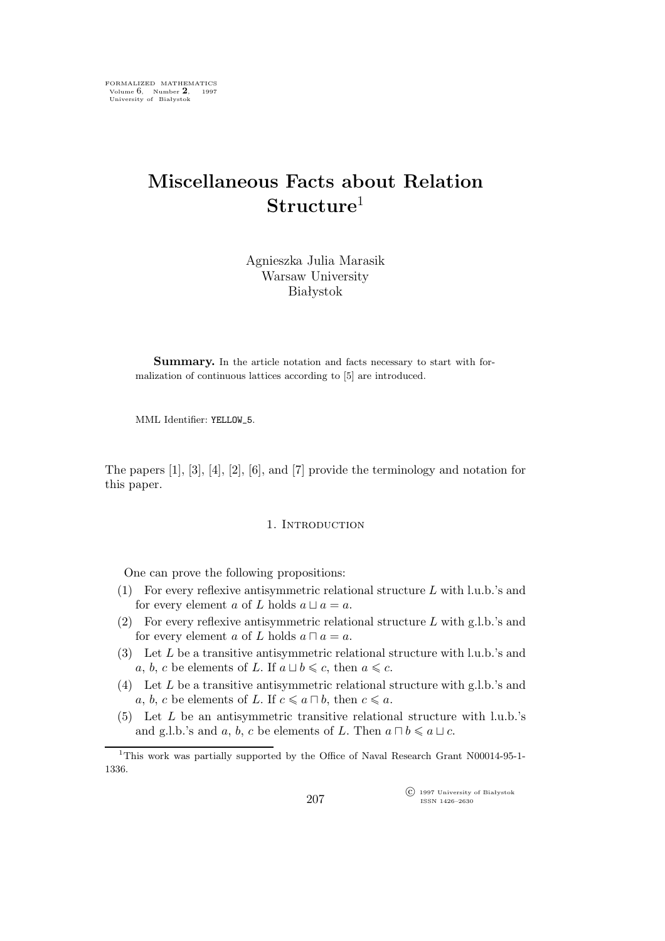# **Miscellaneous Facts about Relation Structure**<sup>1</sup>

Agnieszka Julia Marasik Warsaw University Białystok

Summary. In the article notation and facts necessary to start with formalization of continuous lattices according to [5] are introduced.

MML Identifier: YELLOW\_5.

The papers [1], [3], [4], [2], [6], and [7] provide the terminology and notation for this paper.

# 1. Introduction

One can prove the following propositions:

- (1) For every reflexive antisymmetric relational structure L with l.u.b.'s and for every element a of L holds  $a \sqcup a = a$ .
- (2) For every reflexive antisymmetric relational structure L with g.l.b.'s and for every element a of L holds  $a \sqcap a = a$ .
- (3) Let L be a transitive antisymmetric relational structure with l.u.b.'s and *a*, *b*, *c* be elements of *L*. If  $a \sqcup b \leq c$ , then  $a \leq c$ .
- (4) Let L be a transitive antisymmetric relational structure with g.l.b.'s and a, b, c be elements of L. If  $c \le a ∩ b$ , then  $c \le a$ .
- (5) Let L be an antisymmetric transitive relational structure with l.u.b.'s and g.l.b.'s and a, b, c be elements of L. Then  $a \sqcap b \leq a \sqcup c$ .

 $\widehat{C}$  1997 University of Białystok ISSN 1426–2630

<sup>1</sup>This work was partially supported by the Office of Naval Research Grant N00014-95-1- 1336.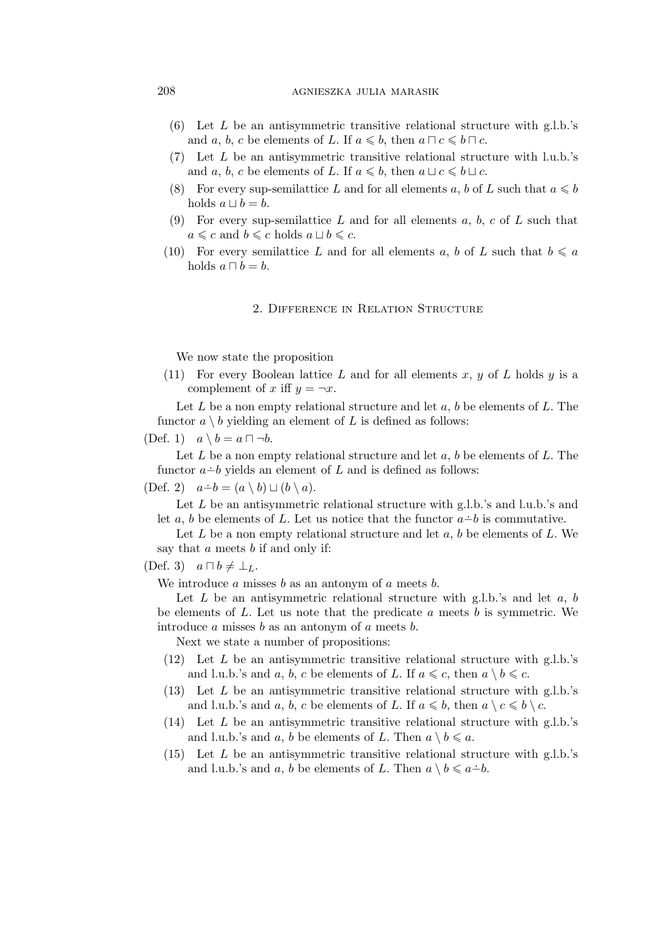## 208 agnieszka julia marasik

- (6) Let  $L$  be an antisymmetric transitive relational structure with g.l.b.'s and a, b, c be elements of L. If  $a \leq b$ , then  $a \sqcap c \leq b \sqcap c$ .
- (7) Let L be an antisymmetric transitive relational structure with l.u.b.'s and a, b, c be elements of L. If  $a \leq b$ , then  $a \sqcup c \leq b \sqcup c$ .
- (8) For every sup-semilattice L and for all elements a, b of L such that  $a \leq b$ holds  $a \sqcup b = b$ .
- (9) For every sup-semilattice L and for all elements a, b, c of L such that  $a \leq c$  and  $b \leq c$  holds  $a \sqcup b \leq c$ .
- (10) For every semilattice L and for all elements a, b of L such that  $b \leq a$ holds  $a \sqcap b = b$ .

## 2. Difference in Relation Structure

We now state the proposition

(11) For every Boolean lattice L and for all elements x, y of L holds y is a complement of x iff  $y = \neg x$ .

Let  $L$  be a non empty relational structure and let  $a, b$  be elements of  $L$ . The functor  $a \setminus b$  yielding an element of  $L$  is defined as follows:

(Def. 1) a *\* b = a *⊓ ¬*b.

Let  $L$  be a non empty relational structure and let  $a, b$  be elements of  $L$ . The functor *a*−*b* yields an element of *L* and is defined as follows:

 $(\text{Def. 2}) \quad a \dot{-} b = (a \setminus b) \sqcup (b \setminus a).$ 

Let  $L$  be an antisymmetric relational structure with g.l.b.'s and l.u.b.'s and let a, b be elements of L. Let us notice that the functor  $a - b$  is commutative.

Let  $L$  be a non empty relational structure and let  $a, b$  be elements of  $L$ . We say that a meets b if and only if:

(Def. 3) a *⊓* b *6*= *⊥*L.

We introduce  $a$  misses  $b$  as an antonym of  $a$  meets  $b$ .

Let  $L$  be an antisymmetric relational structure with g.l.b.'s and let  $a, b$ be elements of  $L$ . Let us note that the predicate  $a$  meets  $b$  is symmetric. We introduce  $a$  misses  $b$  as an antonym of  $a$  meets  $b$ .

Next we state a number of propositions:

- (12) Let L be an antisymmetric transitive relational structure with g.l.b.'s and l.u.b.'s and a, b, c be elements of L. If  $a \leq c$ , then  $a \setminus b \leq c$ .
- $(13)$  Let L be an antisymmetric transitive relational structure with g.l.b.'s and l.u.b.'s and a, b, c be elements of L. If  $a \leq b$ , then  $a \setminus c \leq b \setminus c$ .
- (14) Let L be an antisymmetric transitive relational structure with g.l.b.'s and l.u.b.'s and a, b be elements of L. Then  $a \setminus b \leq a$ .
- (15) Let L be an antisymmetric transitive relational structure with g.l.b.'s and l.u.b.'s and a, b be elements of L. Then  $a \setminus b \leq a-b$ .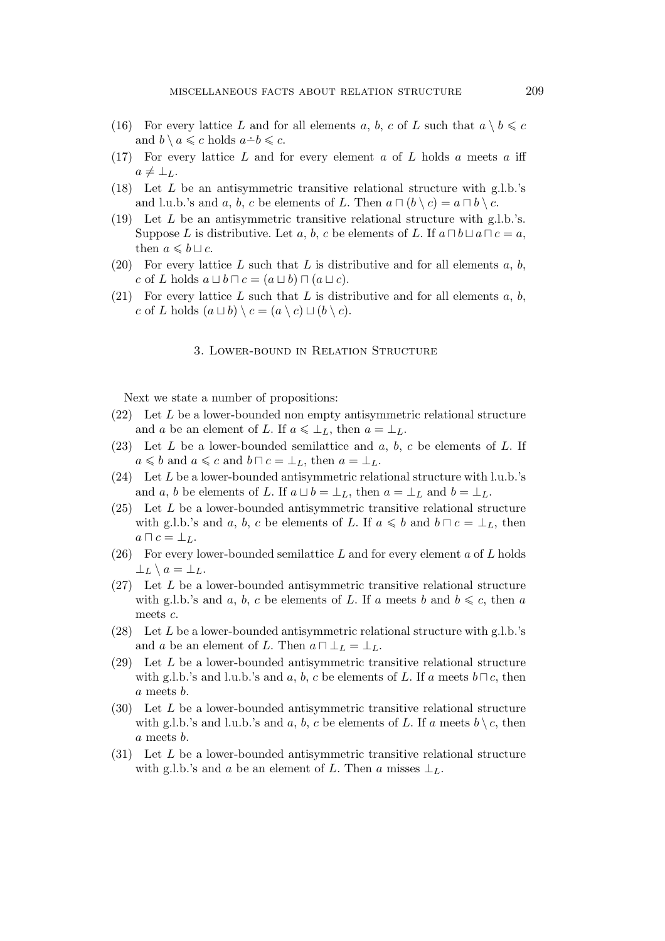- (16) For every lattice L and for all elements a, b, c of L such that  $a \setminus b \leq c$ and  $b \setminus a \leq c$  holds  $a \dot{-} b \leq c$ .
- (17) For every lattice  $L$  and for every element  $a$  of  $L$  holds  $a$  meets  $a$  iff  $a \neq \perp_L$ .
- (18) Let L be an antisymmetric transitive relational structure with g.l.b.'s and l.u.b.'s and a, b, c be elements of L. Then  $a \sqcap (b \setminus c) = a \sqcap b \setminus c$ .
- (19) Let L be an antisymmetric transitive relational structure with g.l.b.'s. Suppose L is distributive. Let a, b, c be elements of L. If  $a \sqcap b \sqcup a \sqcap c = a$ , then  $a \leq b \sqcup c$ .
- (20) For every lattice L such that L is distributive and for all elements a, b,  $c$  of  $L$  holds  $a \sqcup b \sqcap c = (a \sqcup b) \sqcap (a \sqcup c).$
- (21) For every lattice L such that L is distributive and for all elements  $a, b$ , c of L holds  $(a \sqcup b) \setminus c = (a \setminus c) \sqcup (b \setminus c).$

#### 3. Lower-bound in Relation Structure

Next we state a number of propositions:

- $(22)$  Let L be a lower-bounded non empty antisymmetric relational structure and a be an element of L. If  $a \leq \perp_L$ , then  $a = \perp_L$ .
- $(23)$  Let L be a lower-bounded semilattice and a, b, c be elements of L. If  $a \leq b$  and  $a \leq c$  and  $b \sqcap c = \perp_L$ , then  $a = \perp_L$ .
- (24) Let L be a lower-bounded antisymmetric relational structure with l.u.b.'s and a, b be elements of L. If  $a \sqcup b = \perp_L$ , then  $a = \perp_L$  and  $b = \perp_L$ .
- $(25)$  Let L be a lower-bounded antisymmetric transitive relational structure with g.l.b.'s and a, b, c be elements of L. If  $a \leq b$  and  $b \sqcap c = \perp_L$ , then  $a \sqcap c = \bot_L$ .
- (26) For every lower-bounded semilattice L and for every element a of L holds  $\perp$ <sub>L</sub>  $\setminus$  a =  $\perp$ <sub>L</sub>.
- (27) Let L be a lower-bounded antisymmetric transitive relational structure with g.l.b.'s and a, b, c be elements of L. If a meets b and  $b \leq c$ , then a meets c.
- (28) Let L be a lower-bounded antisymmetric relational structure with g.l.b.'s and *a* be an element of L. Then  $a \sqcap \bot_L = \bot_L$ .
- (29) Let L be a lower-bounded antisymmetric transitive relational structure with g.l.b.'s and l.u.b.'s and a, b, c be elements of L. If a meets  $b \sqcap c$ , then a meets b.
- (30) Let L be a lower-bounded antisymmetric transitive relational structure with g.l.b.'s and l.u.b.'s and a, b, c be elements of L. If a meets  $b \setminus c$ , then a meets b.
- (31) Let L be a lower-bounded antisymmetric transitive relational structure with g.l.b.'s and a be an element of L. Then a misses  $\perp_L$ .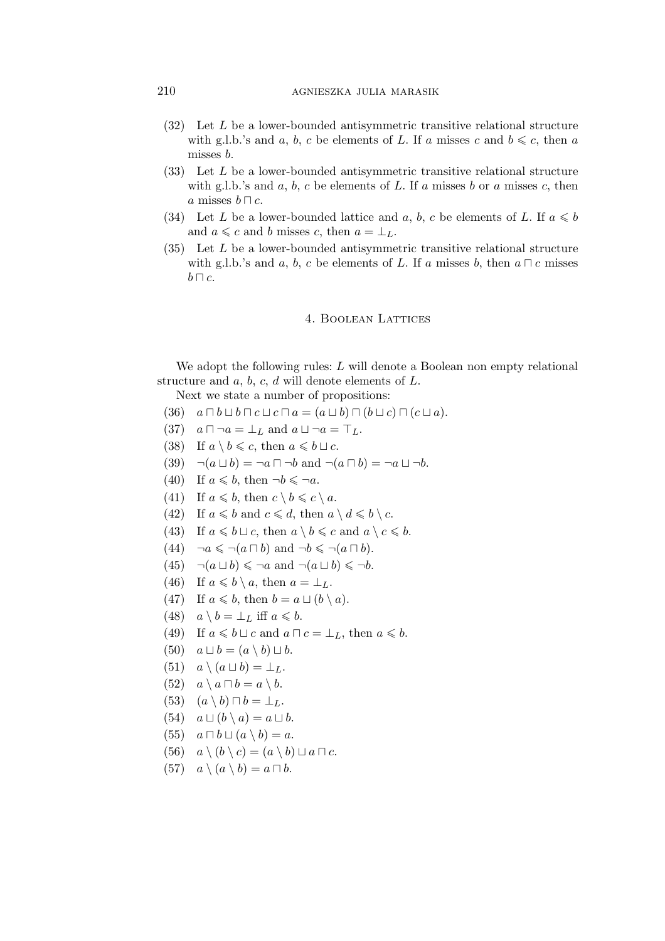- (32) Let L be a lower-bounded antisymmetric transitive relational structure with g.l.b.'s and a, b, c be elements of L. If a misses c and  $b \leq c$ , then a misses b.
- (33) Let L be a lower-bounded antisymmetric transitive relational structure with g.l.b.'s and  $a, b, c$  be elements of  $L$ . If  $a$  misses  $b$  or  $a$  misses  $c$ , then a misses b *⊓* c.
- (34) Let L be a lower-bounded lattice and a, b, c be elements of L. If  $a \leq b$ and  $a \leq c$  and b misses c, then  $a = \perp_L$ .
- (35) Let L be a lower-bounded antisymmetric transitive relational structure with g.l.b.'s and a, b, c be elements of L. If a misses b, then  $a \sqcap c$  misses b *⊓* c.

#### 4. Boolean Lattices

We adopt the following rules: L will denote a Boolean non empty relational structure and  $a, b, c, d$  will denote elements of  $L$ .

Next we state a number of propositions:

- $(36)$   $a \Box b \Box b \Box c \Box c \Box a = (a \Box b) \Box (b \Box c) \Box (c \Box a).$
- $(37)$   $a \square \neg a = \bot_L$  and  $a \square \neg a = \top_L$ .
- (38) If  $a \setminus b \leqslant c$ , then  $a \leqslant b \sqcup c$ .
- (39)  $\neg(a \sqcup b) = \neg a \sqcap \neg b$  and  $\neg(a \sqcap b) = \neg a \sqcup \neg b$ .
- (40) If  $a \leq b$ , then  $\neg b \leq \neg a$ .
- (41) If  $a \leq b$ , then  $c \setminus b \leq c \setminus a$ .
- (42) If  $a \leq b$  and  $c \leq d$ , then  $a \setminus d \leq b \setminus c$ .
- (43) If  $a \le b \sqcup c$ , then  $a \setminus b \le c$  and  $a \setminus c \le b$ .
- (44)  $\neg a \leqslant \neg (a \sqcap b)$  and  $\neg b \leqslant \neg (a \sqcap b)$ .
- (45)  $\neg(a \sqcup b) \leq \neg a$  and  $\neg(a \sqcup b) \leq \neg b$ .
- (46) If  $a \leq b \setminus a$ , then  $a = \perp_L$ .
- (47) If  $a \leq b$ , then  $b = a \sqcup (b \setminus a)$ .
- $(48)$   $a \setminus b = \perp_L$  iff  $a \leq b$ .
- (49) If  $a \leq b \sqcup c$  and  $a \sqcap c = \perp_L$ , then  $a \leq b$ .
- $(50)$   $a \sqcup b = (a \setminus b) \sqcup b.$
- $(51)$   $a \setminus (a \sqcup b) = \perp_L$ .
- $(52)$   $a \setminus a \sqcap b = a \setminus b.$
- $(53)$   $(a \setminus b) \sqcap b = \perp_L$ .
- $(54)$   $a \sqcup (b \setminus a) = a \sqcup b$ .
- $(55)$   $a \sqcap b \sqcup (a \setminus b) = a.$
- (56)  $a \setminus (b \setminus c) = (a \setminus b) \sqcup a \sqcap c$ .
- $(57)$   $a \setminus (a \setminus b) = a \sqcap b$ .